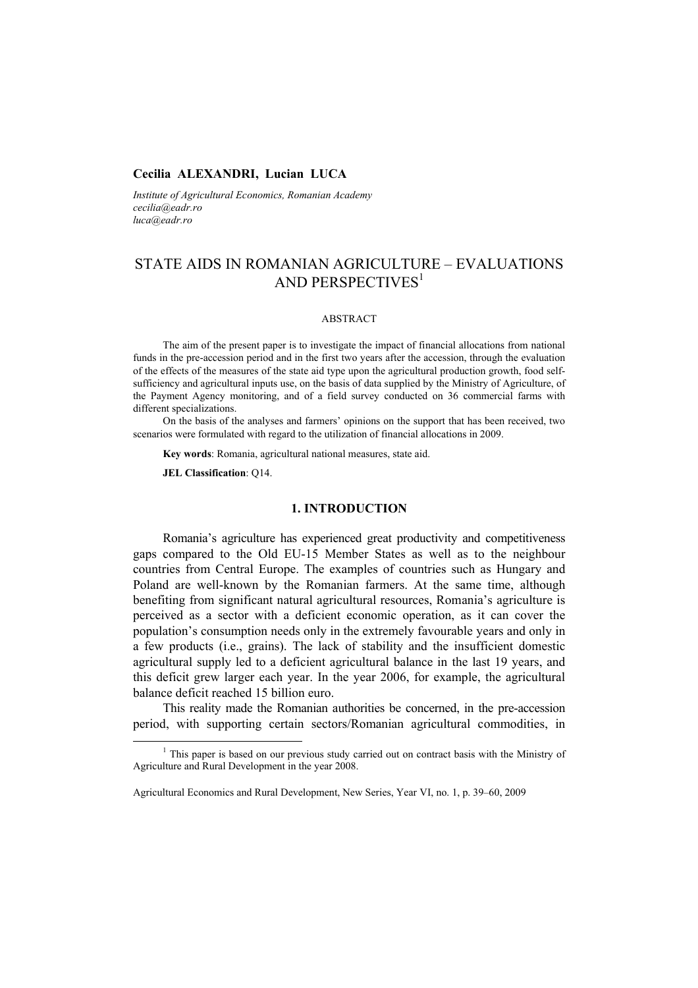### **Cecilia ALEXANDRI, Lucian LUCA**

*Institute of Agricultural Economics, Romanian Academy cecilia@eadr.ro luca@eadr.ro* 

# STATE AIDS IN ROMANIAN AGRICULTURE – EVALUATIONS AND PERSPECTIVES<sup>1</sup>

#### ABSTRACT

The aim of the present paper is to investigate the impact of financial allocations from national funds in the pre-accession period and in the first two years after the accession, through the evaluation of the effects of the measures of the state aid type upon the agricultural production growth, food selfsufficiency and agricultural inputs use, on the basis of data supplied by the Ministry of Agriculture, of the Payment Agency monitoring, and of a field survey conducted on 36 commercial farms with different specializations.

On the basis of the analyses and farmers' opinions on the support that has been received, two scenarios were formulated with regard to the utilization of financial allocations in 2009.

**Key words**: Romania, agricultural national measures, state aid.

**JEL Classification**: Q14.

## **1. INTRODUCTION**

Romania's agriculture has experienced great productivity and competitiveness gaps compared to the Old EU-15 Member States as well as to the neighbour countries from Central Europe. The examples of countries such as Hungary and Poland are well-known by the Romanian farmers. At the same time, although benefiting from significant natural agricultural resources, Romania's agriculture is perceived as a sector with a deficient economic operation, as it can cover the population's consumption needs only in the extremely favourable years and only in a few products (i.e., grains). The lack of stability and the insufficient domestic agricultural supply led to a deficient agricultural balance in the last 19 years, and this deficit grew larger each year. In the year 2006, for example, the agricultural balance deficit reached 15 billion euro.

This reality made the Romanian authorities be concerned, in the pre-accession period, with supporting certain sectors/Romanian agricultural commodities, in

<sup>&</sup>lt;u>1</u>  $1$ . This paper is based on our previous study carried out on contract basis with the Ministry of Agriculture and Rural Development in the year 2008.

Agricultural Economics and Rural Development, New Series, Year VI, no. 1, p. 39–60, 2009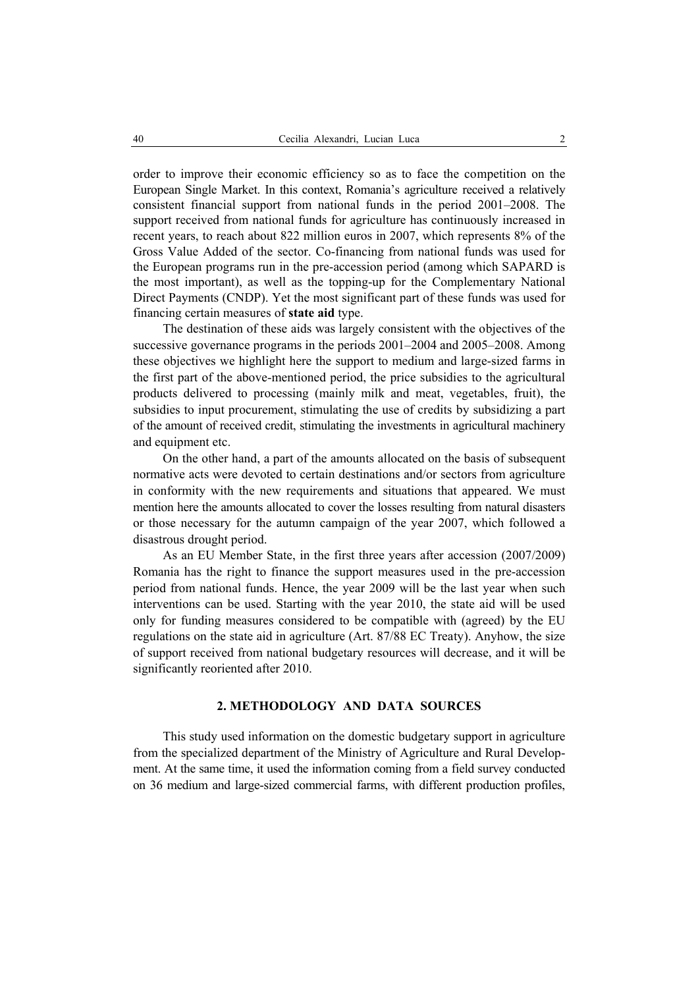order to improve their economic efficiency so as to face the competition on the European Single Market. In this context, Romania's agriculture received a relatively consistent financial support from national funds in the period 2001–2008. The support received from national funds for agriculture has continuously increased in recent years, to reach about 822 million euros in 2007, which represents 8% of the Gross Value Added of the sector. Co-financing from national funds was used for the European programs run in the pre-accession period (among which SAPARD is the most important), as well as the topping-up for the Complementary National Direct Payments (CNDP). Yet the most significant part of these funds was used for financing certain measures of **state aid** type.

The destination of these aids was largely consistent with the objectives of the successive governance programs in the periods 2001–2004 and 2005–2008. Among these objectives we highlight here the support to medium and large-sized farms in the first part of the above-mentioned period, the price subsidies to the agricultural products delivered to processing (mainly milk and meat, vegetables, fruit), the subsidies to input procurement, stimulating the use of credits by subsidizing a part of the amount of received credit, stimulating the investments in agricultural machinery and equipment etc.

On the other hand, a part of the amounts allocated on the basis of subsequent normative acts were devoted to certain destinations and/or sectors from agriculture in conformity with the new requirements and situations that appeared. We must mention here the amounts allocated to cover the losses resulting from natural disasters or those necessary for the autumn campaign of the year 2007, which followed a disastrous drought period.

As an EU Member State, in the first three years after accession (2007/2009) Romania has the right to finance the support measures used in the pre-accession period from national funds. Hence, the year 2009 will be the last year when such interventions can be used. Starting with the year 2010, the state aid will be used only for funding measures considered to be compatible with (agreed) by the EU regulations on the state aid in agriculture (Art. 87/88 EC Treaty). Anyhow, the size of support received from national budgetary resources will decrease, and it will be significantly reoriented after 2010.

## **2. METHODOLOGY AND DATA SOURCES**

This study used information on the domestic budgetary support in agriculture from the specialized department of the Ministry of Agriculture and Rural Development. At the same time, it used the information coming from a field survey conducted on 36 medium and large-sized commercial farms, with different production profiles,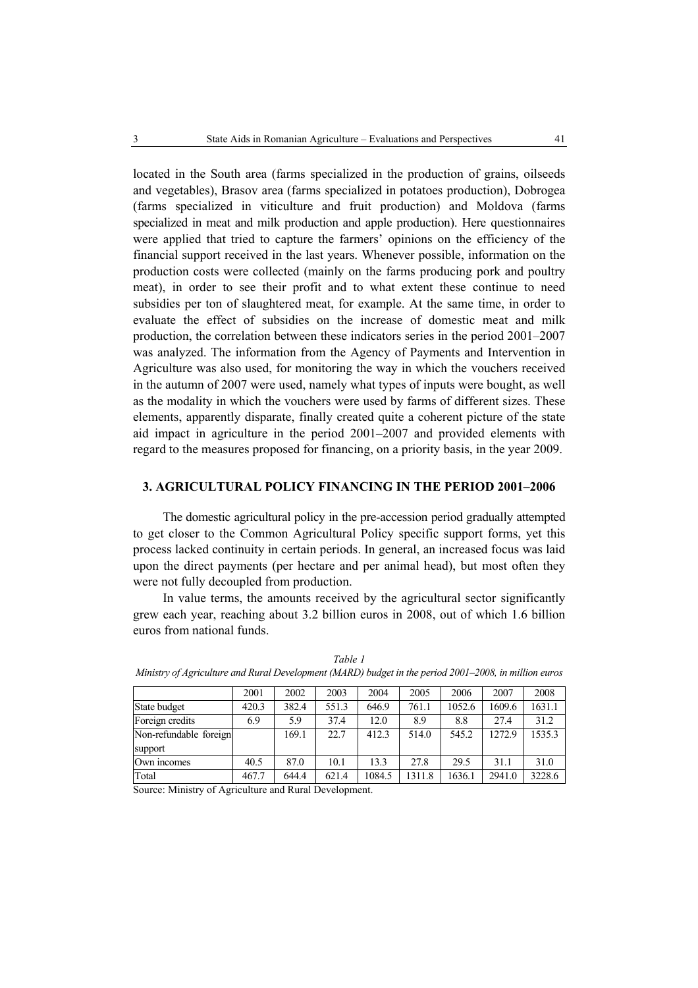located in the South area (farms specialized in the production of grains, oilseeds and vegetables), Brasov area (farms specialized in potatoes production), Dobrogea (farms specialized in viticulture and fruit production) and Moldova (farms specialized in meat and milk production and apple production). Here questionnaires were applied that tried to capture the farmers' opinions on the efficiency of the financial support received in the last years. Whenever possible, information on the production costs were collected (mainly on the farms producing pork and poultry meat), in order to see their profit and to what extent these continue to need subsidies per ton of slaughtered meat, for example. At the same time, in order to evaluate the effect of subsidies on the increase of domestic meat and milk production, the correlation between these indicators series in the period 2001–2007 was analyzed. The information from the Agency of Payments and Intervention in Agriculture was also used, for monitoring the way in which the vouchers received in the autumn of 2007 were used, namely what types of inputs were bought, as well as the modality in which the vouchers were used by farms of different sizes. These elements, apparently disparate, finally created quite a coherent picture of the state aid impact in agriculture in the period 2001–2007 and provided elements with regard to the measures proposed for financing, on a priority basis, in the year 2009.

## **3. AGRICULTURAL POLICY FINANCING IN THE PERIOD 2001–2006**

The domestic agricultural policy in the pre-accession period gradually attempted to get closer to the Common Agricultural Policy specific support forms, yet this process lacked continuity in certain periods. In general, an increased focus was laid upon the direct payments (per hectare and per animal head), but most often they were not fully decoupled from production.

In value terms, the amounts received by the agricultural sector significantly grew each year, reaching about 3.2 billion euros in 2008, out of which 1.6 billion euros from national funds.

|                        | 2001  | 2002  | 2003  | 2004   | 2005   | 2006   | 2007   | 2008   |
|------------------------|-------|-------|-------|--------|--------|--------|--------|--------|
| State budget           | 420.3 | 382.4 | 551.3 | 646.9  | 761.1  | 1052.6 | 1609.6 | 1631.1 |
| Foreign credits        | 6.9   | 5.9   | 37.4  | 12.0   | 8.9    | 8.8    | 27.4   | 31.2   |
| Non-refundable foreign |       | 169.1 | 22.7  | 412.3  | 514.0  | 545.2  | 1272.9 | 1535.3 |
| support                |       |       |       |        |        |        |        |        |
| Own incomes            | 40.5  | 87.0  | 10.1  | 13.3   | 27.8   | 29.5   | 31.1   | 31.0   |
| Total                  | 467.7 | 644.4 | 621.4 | 1084.5 | 1311.8 | 1636.1 | 2941.0 | 3228.6 |

*Table 1 Ministry of Agriculture and Rural Development (MARD) budget in the period 2001–2008, in million euros* 

Source: Ministry of Agriculture and Rural Development.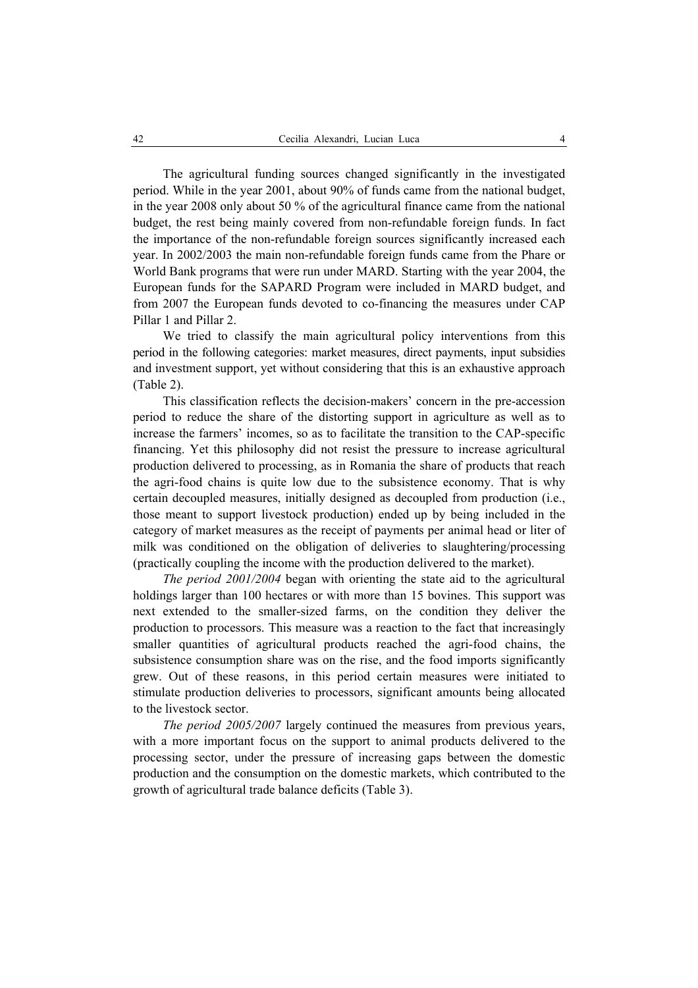The agricultural funding sources changed significantly in the investigated period. While in the year 2001, about 90% of funds came from the national budget, in the year 2008 only about 50 % of the agricultural finance came from the national budget, the rest being mainly covered from non-refundable foreign funds. In fact the importance of the non-refundable foreign sources significantly increased each year. In 2002/2003 the main non-refundable foreign funds came from the Phare or World Bank programs that were run under MARD. Starting with the year 2004, the European funds for the SAPARD Program were included in MARD budget, and from 2007 the European funds devoted to co-financing the measures under CAP Pillar 1 and Pillar 2.

We tried to classify the main agricultural policy interventions from this period in the following categories: market measures, direct payments, input subsidies and investment support, yet without considering that this is an exhaustive approach (Table 2).

This classification reflects the decision-makers' concern in the pre-accession period to reduce the share of the distorting support in agriculture as well as to increase the farmers' incomes, so as to facilitate the transition to the CAP-specific financing. Yet this philosophy did not resist the pressure to increase agricultural production delivered to processing, as in Romania the share of products that reach the agri-food chains is quite low due to the subsistence economy. That is why certain decoupled measures, initially designed as decoupled from production (i.e., those meant to support livestock production) ended up by being included in the category of market measures as the receipt of payments per animal head or liter of milk was conditioned on the obligation of deliveries to slaughtering/processing (practically coupling the income with the production delivered to the market).

*The period 2001/2004* began with orienting the state aid to the agricultural holdings larger than 100 hectares or with more than 15 bovines. This support was next extended to the smaller-sized farms, on the condition they deliver the production to processors. This measure was a reaction to the fact that increasingly smaller quantities of agricultural products reached the agri-food chains, the subsistence consumption share was on the rise, and the food imports significantly grew. Out of these reasons, in this period certain measures were initiated to stimulate production deliveries to processors, significant amounts being allocated to the livestock sector.

*The period 2005/2007* largely continued the measures from previous years, with a more important focus on the support to animal products delivered to the processing sector, under the pressure of increasing gaps between the domestic production and the consumption on the domestic markets, which contributed to the growth of agricultural trade balance deficits (Table 3).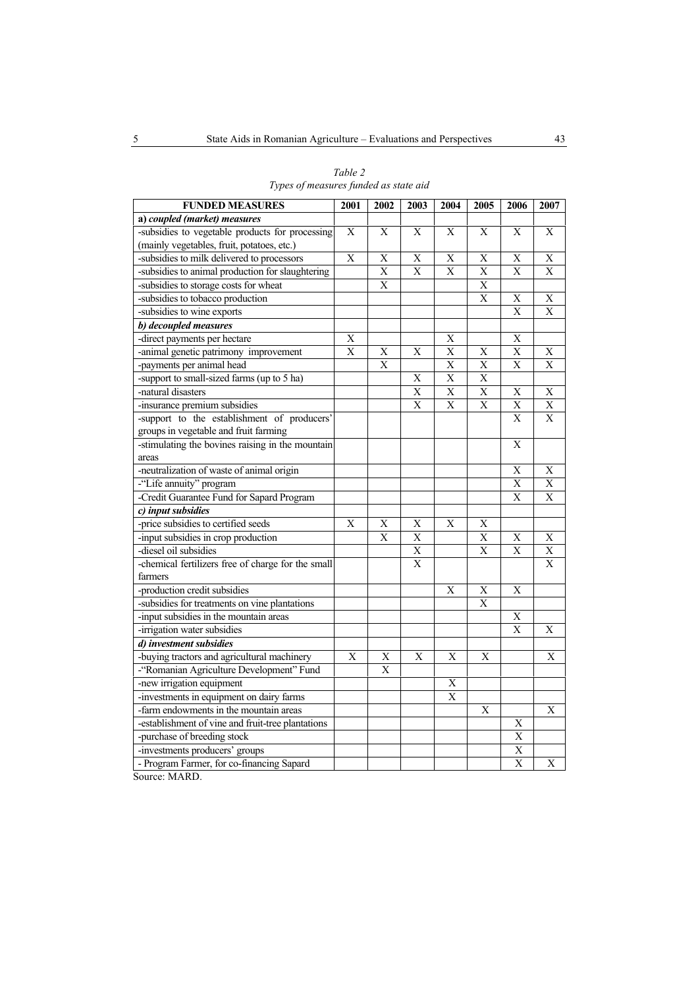| <b>FUNDED MEASURES</b>                             |                         | 2002                    | 2003           | 2004           | 2005                    | 2006                    | 2007                    |
|----------------------------------------------------|-------------------------|-------------------------|----------------|----------------|-------------------------|-------------------------|-------------------------|
| a) coupled (market) measures                       |                         |                         |                |                |                         |                         |                         |
| -subsidies to vegetable products for processing    | X                       | X                       | X              | X              | X                       | X                       | X                       |
| (mainly vegetables, fruit, potatoes, etc.)         |                         |                         |                |                |                         |                         |                         |
| -subsidies to milk delivered to processors         | $\mathbf X$             | X                       | X              | X              | X                       | X                       | X                       |
| -subsidies to animal production for slaughtering   |                         | $\overline{X}$          | $\overline{X}$ | $\overline{X}$ | $\overline{\mathrm{X}}$ | $\overline{X}$          | $\overline{\mathrm{X}}$ |
| -subsidies to storage costs for wheat              |                         | $\overline{\mathbf{X}}$ |                |                | $\overline{\mathrm{X}}$ |                         |                         |
| -subsidies to tobacco production                   |                         |                         |                |                | X                       | X                       | X                       |
| -subsidies to wine exports                         |                         |                         |                |                |                         | $\overline{\mathrm{X}}$ | X                       |
| b) decoupled measures                              |                         |                         |                |                |                         |                         |                         |
| -direct payments per hectare                       | $\overline{\mathrm{X}}$ |                         |                | $\overline{X}$ |                         | $\overline{\mathrm{X}}$ |                         |
| -animal genetic patrimony improvement              | $\overline{\mathrm{X}}$ | $\overline{X}$          | $\overline{X}$ | $\overline{X}$ | $\overline{\mathrm{X}}$ | $\overline{\mathrm{X}}$ | Χ                       |
| -payments per animal head                          |                         | $\overline{X}$          |                | $\overline{X}$ | $\overline{\mathrm{X}}$ | $\overline{X}$          | $\overline{X}$          |
| -support to small-sized farms (up to 5 ha)         |                         |                         | $\overline{X}$ | $\overline{X}$ | $\overline{\mathrm{X}}$ |                         |                         |
| -natural disasters                                 |                         |                         | X              | X              | X                       | X                       | X                       |
| -insurance premium subsidies                       |                         |                         | X              | X              | X                       | X                       | X                       |
| -support to the establishment of producers'        |                         |                         |                |                |                         | $\mathbf{X}$            | $\mathbf{X}$            |
| groups in vegetable and fruit farming              |                         |                         |                |                |                         |                         |                         |
| -stimulating the bovines raising in the mountain   |                         |                         |                |                |                         | X                       |                         |
| areas                                              |                         |                         |                |                |                         |                         |                         |
| -neutralization of waste of animal origin          |                         |                         |                |                |                         | X                       | X                       |
| -"Life annuity" program                            |                         |                         |                |                |                         | $\overline{X}$          | $\overline{\mathrm{X}}$ |
| -Credit Guarantee Fund for Sapard Program          |                         |                         |                |                |                         | Х                       | X                       |
| c) input subsidies                                 |                         |                         |                |                |                         |                         |                         |
| -price subsidies to certified seeds                | X                       | $\overline{\mathrm{X}}$ | $\overline{X}$ | X              | $\overline{\mathrm{X}}$ |                         |                         |
| -input subsidies in crop production                |                         | $\mathbf X$             | $\overline{X}$ |                | $\overline{\mathrm{X}}$ | X                       | X                       |
| -diesel oil subsidies                              |                         |                         | $\mathbf X$    |                | X                       | X                       | X                       |
| -chemical fertilizers free of charge for the small |                         |                         | $\overline{X}$ |                |                         |                         | X                       |
| farmers                                            |                         |                         |                |                |                         |                         |                         |
| -production credit subsidies                       |                         |                         |                | X              | Х                       | $\overline{\mathrm{X}}$ |                         |
| -subsidies for treatments on vine plantations      |                         |                         |                |                | X                       |                         |                         |
| -input subsidies in the mountain areas             |                         |                         |                |                |                         | X                       |                         |
| -irrigation water subsidies                        |                         |                         |                |                |                         | $\overline{X}$          | X                       |
| d) investment subsidies                            |                         |                         |                |                |                         |                         |                         |
| -buying tractors and agricultural machinery        | X                       | $\mathbf X$             | X              | X              | X                       |                         | X                       |
| -"Romanian Agriculture Development" Fund           |                         | $\overline{\mathrm{X}}$ |                |                |                         |                         |                         |
| -new irrigation equipment                          |                         |                         |                | X              |                         |                         |                         |
| -investments in equipment on dairy farms           |                         |                         |                | X              |                         |                         |                         |
| -farm endowments in the mountain areas             |                         |                         |                |                | X                       |                         | X                       |
| -establishment of vine and fruit-tree plantations  |                         |                         |                |                |                         | $\overline{\mathrm{X}}$ |                         |
| -purchase of breeding stock                        |                         |                         |                |                |                         | X                       |                         |
| -investments producers' groups                     |                         |                         |                |                |                         | $\overline{X}$          |                         |
| - Program Farmer, for co-financing Sapard          |                         |                         |                |                |                         | $\overline{X}$          | X                       |

*Table 2 Types of measures funded as state aid*

Source: MARD.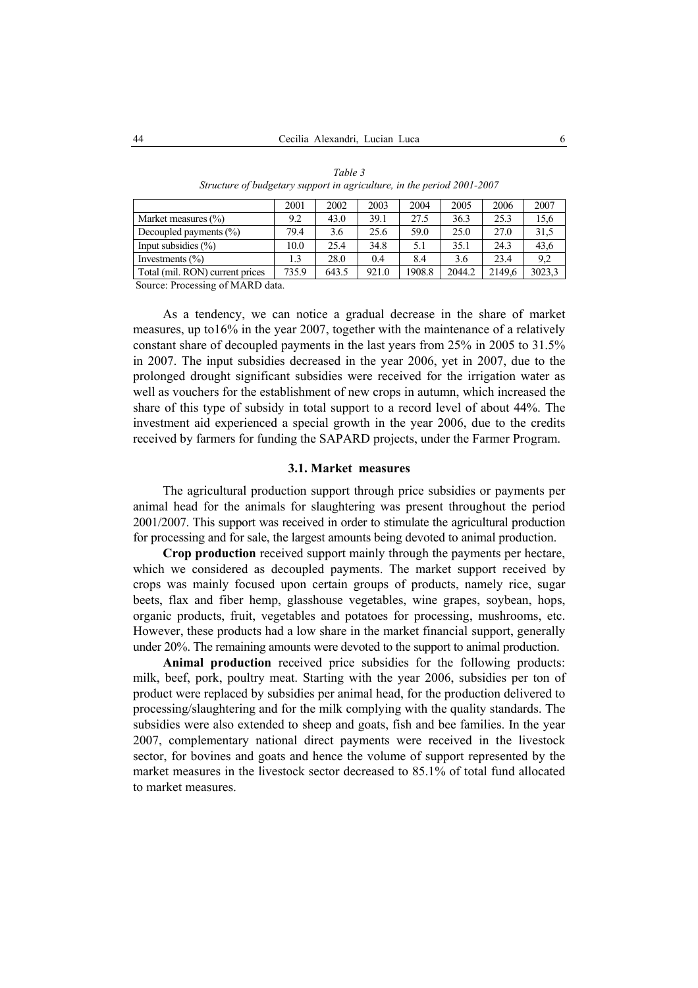|                                 | 2001  | 2002  | 2003  | 2004  | 2005   | 2006   | 2007   |
|---------------------------------|-------|-------|-------|-------|--------|--------|--------|
| Market measures $(\% )$         | 9.2   | 43.0  | 39.1  | 27.5  | 36.3   | 25.3   | 15,6   |
| Decoupled payments $(\% )$      | 79.4  | 3.6   | 25.6  | 59.0  | 25.0   | 27.0   | 31,5   |
| Input subsidies $(\% )$         | 10.0  | 25.4  | 34.8  | 5.1   | 35.1   | 24.3   | 43,6   |
| Investments $(\% )$             | 1.3   | 28.0  | 0.4   | 8.4   | 3.6    | 23.4   | 9,2    |
| Total (mil. RON) current prices | 735.9 | 643.5 | 921.0 | 908.8 | 2044.2 | 2149.6 | 3023,3 |

*Table 3 Structure of budgetary support in agriculture, in the period 2001-2007* 

Source: Processing of MARD data.

As a tendency, we can notice a gradual decrease in the share of market measures, up to16% in the year 2007, together with the maintenance of a relatively constant share of decoupled payments in the last years from 25% in 2005 to 31.5% in 2007. The input subsidies decreased in the year 2006, yet in 2007, due to the prolonged drought significant subsidies were received for the irrigation water as well as vouchers for the establishment of new crops in autumn, which increased the share of this type of subsidy in total support to a record level of about 44%. The investment aid experienced a special growth in the year 2006, due to the credits received by farmers for funding the SAPARD projects, under the Farmer Program.

### **3.1. Market measures**

The agricultural production support through price subsidies or payments per animal head for the animals for slaughtering was present throughout the period 2001/2007. This support was received in order to stimulate the agricultural production for processing and for sale, the largest amounts being devoted to animal production.

**Crop production** received support mainly through the payments per hectare, which we considered as decoupled payments. The market support received by crops was mainly focused upon certain groups of products, namely rice, sugar beets, flax and fiber hemp, glasshouse vegetables, wine grapes, soybean, hops, organic products, fruit, vegetables and potatoes for processing, mushrooms, etc. However, these products had a low share in the market financial support, generally under 20%. The remaining amounts were devoted to the support to animal production.

**Animal production** received price subsidies for the following products: milk, beef, pork, poultry meat. Starting with the year 2006, subsidies per ton of product were replaced by subsidies per animal head, for the production delivered to processing/slaughtering and for the milk complying with the quality standards. The subsidies were also extended to sheep and goats, fish and bee families. In the year 2007, complementary national direct payments were received in the livestock sector, for bovines and goats and hence the volume of support represented by the market measures in the livestock sector decreased to 85.1% of total fund allocated to market measures.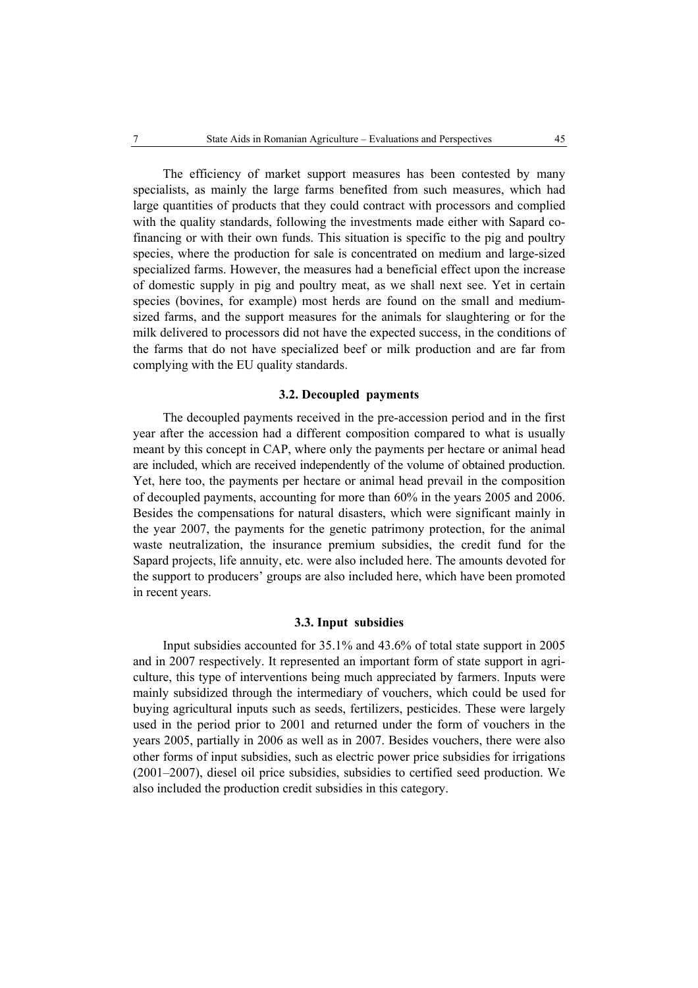The efficiency of market support measures has been contested by many specialists, as mainly the large farms benefited from such measures, which had large quantities of products that they could contract with processors and complied with the quality standards, following the investments made either with Sapard cofinancing or with their own funds. This situation is specific to the pig and poultry species, where the production for sale is concentrated on medium and large-sized specialized farms. However, the measures had a beneficial effect upon the increase of domestic supply in pig and poultry meat, as we shall next see. Yet in certain species (bovines, for example) most herds are found on the small and mediumsized farms, and the support measures for the animals for slaughtering or for the milk delivered to processors did not have the expected success, in the conditions of the farms that do not have specialized beef or milk production and are far from complying with the EU quality standards.

#### **3.2. Decoupled payments**

The decoupled payments received in the pre-accession period and in the first year after the accession had a different composition compared to what is usually meant by this concept in CAP, where only the payments per hectare or animal head are included, which are received independently of the volume of obtained production. Yet, here too, the payments per hectare or animal head prevail in the composition of decoupled payments, accounting for more than 60% in the years 2005 and 2006. Besides the compensations for natural disasters, which were significant mainly in the year 2007, the payments for the genetic patrimony protection, for the animal waste neutralization, the insurance premium subsidies, the credit fund for the Sapard projects, life annuity, etc. were also included here. The amounts devoted for the support to producers' groups are also included here, which have been promoted in recent years.

#### **3.3. Input subsidies**

Input subsidies accounted for 35.1% and 43.6% of total state support in 2005 and in 2007 respectively. It represented an important form of state support in agriculture, this type of interventions being much appreciated by farmers. Inputs were mainly subsidized through the intermediary of vouchers, which could be used for buying agricultural inputs such as seeds, fertilizers, pesticides. These were largely used in the period prior to 2001 and returned under the form of vouchers in the years 2005, partially in 2006 as well as in 2007. Besides vouchers, there were also other forms of input subsidies, such as electric power price subsidies for irrigations (2001–2007), diesel oil price subsidies, subsidies to certified seed production. We also included the production credit subsidies in this category.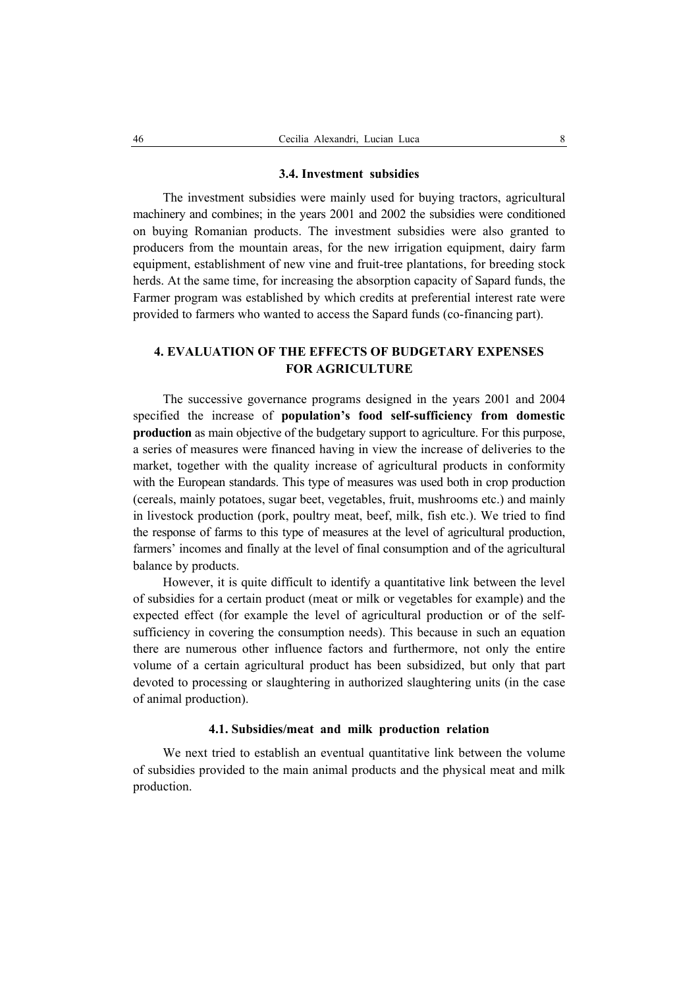#### **3.4. Investment subsidies**

The investment subsidies were mainly used for buying tractors, agricultural machinery and combines; in the years 2001 and 2002 the subsidies were conditioned on buying Romanian products. The investment subsidies were also granted to producers from the mountain areas, for the new irrigation equipment, dairy farm equipment, establishment of new vine and fruit-tree plantations, for breeding stock herds. At the same time, for increasing the absorption capacity of Sapard funds, the Farmer program was established by which credits at preferential interest rate were provided to farmers who wanted to access the Sapard funds (co-financing part).

# **4. EVALUATION OF THE EFFECTS OF BUDGETARY EXPENSES FOR AGRICULTURE**

The successive governance programs designed in the years 2001 and 2004 specified the increase of **population's food self-sufficiency from domestic production** as main objective of the budgetary support to agriculture. For this purpose, a series of measures were financed having in view the increase of deliveries to the market, together with the quality increase of agricultural products in conformity with the European standards. This type of measures was used both in crop production (cereals, mainly potatoes, sugar beet, vegetables, fruit, mushrooms etc.) and mainly in livestock production (pork, poultry meat, beef, milk, fish etc.). We tried to find the response of farms to this type of measures at the level of agricultural production, farmers' incomes and finally at the level of final consumption and of the agricultural balance by products.

However, it is quite difficult to identify a quantitative link between the level of subsidies for a certain product (meat or milk or vegetables for example) and the expected effect (for example the level of agricultural production or of the selfsufficiency in covering the consumption needs). This because in such an equation there are numerous other influence factors and furthermore, not only the entire volume of a certain agricultural product has been subsidized, but only that part devoted to processing or slaughtering in authorized slaughtering units (in the case of animal production).

#### **4.1. Subsidies/meat and milk production relation**

We next tried to establish an eventual quantitative link between the volume of subsidies provided to the main animal products and the physical meat and milk production.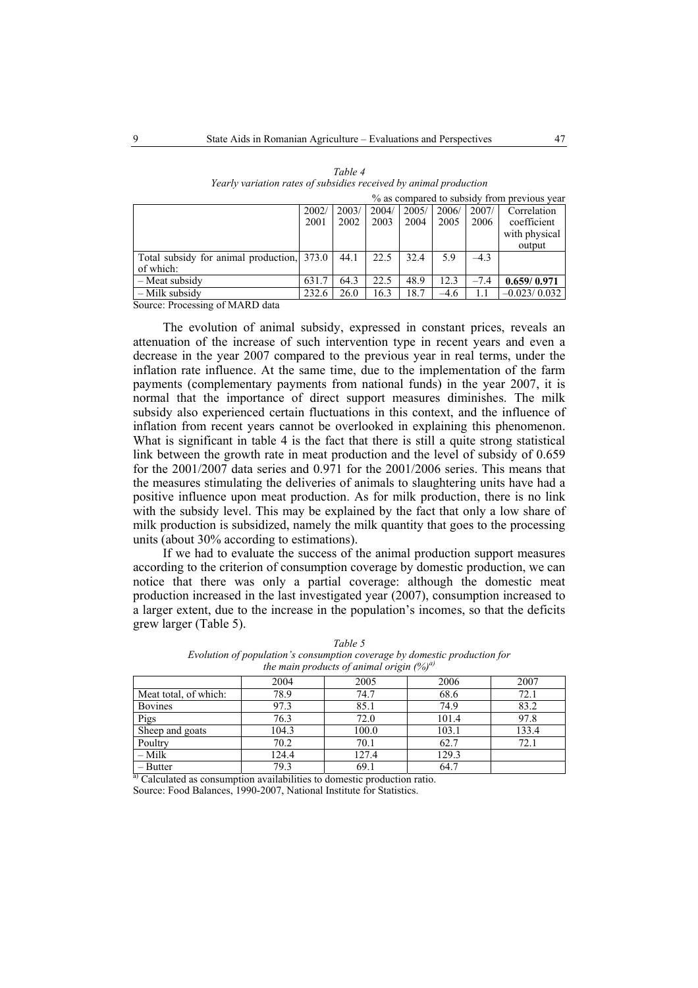|                                                                                        |       |       |       |       |        |        | % as compared to subsidy from previous year |
|----------------------------------------------------------------------------------------|-------|-------|-------|-------|--------|--------|---------------------------------------------|
|                                                                                        | 2002/ | 2003/ | 2004/ | 2005/ | 2006/  | 2007/  | Correlation                                 |
|                                                                                        | 2001  | 2002  | 2003  | 2004  | 2005   | 2006   | coefficient                                 |
|                                                                                        |       |       |       |       |        |        | with physical                               |
|                                                                                        |       |       |       |       |        |        | output                                      |
| Total subsidy for animal production, 373.0                                             |       | 44.1  | 22.5  | 32.4  | 5.9    | $-4.3$ |                                             |
| of which:                                                                              |       |       |       |       |        |        |                                             |
| - Meat subsidy                                                                         | 631.7 | 64.3  | 22.5  | 48.9  | 12.3   | $-7.4$ | 0.659/0.971                                 |
| - Milk subsidy                                                                         | 232.6 | 26.0  | 16.3  | 18.7  | $-4.6$ |        | $-0.023/0.032$                              |
| $\mathcal{L}_{\text{out}}$ $\mathcal{L}_{\text{noncon}}$ $\mathcal{L}_{\text{noncon}}$ |       |       |       |       |        |        |                                             |

| Table 4                                                           |
|-------------------------------------------------------------------|
| Yearly variation rates of subsidies received by animal production |

Source: Processing of MARD data

The evolution of animal subsidy, expressed in constant prices, reveals an attenuation of the increase of such intervention type in recent years and even a decrease in the year 2007 compared to the previous year in real terms, under the inflation rate influence. At the same time, due to the implementation of the farm payments (complementary payments from national funds) in the year 2007, it is normal that the importance of direct support measures diminishes. The milk subsidy also experienced certain fluctuations in this context, and the influence of inflation from recent years cannot be overlooked in explaining this phenomenon. What is significant in table 4 is the fact that there is still a quite strong statistical link between the growth rate in meat production and the level of subsidy of 0.659 for the 2001/2007 data series and 0.971 for the 2001/2006 series. This means that the measures stimulating the deliveries of animals to slaughtering units have had a positive influence upon meat production. As for milk production, there is no link with the subsidy level. This may be explained by the fact that only a low share of milk production is subsidized, namely the milk quantity that goes to the processing units (about 30% according to estimations).

If we had to evaluate the success of the animal production support measures according to the criterion of consumption coverage by domestic production, we can notice that there was only a partial coverage: although the domestic meat production increased in the last investigated year (2007), consumption increased to a larger extent, due to the increase in the population's incomes, so that the deficits grew larger (Table 5).

| $\mu$ main products of animal origin (70) |       |       |       |       |  |  |  |
|-------------------------------------------|-------|-------|-------|-------|--|--|--|
|                                           | 2004  | 2005  | 2006  | 2007  |  |  |  |
| Meat total, of which:                     | 78.9  | 74.7  | 68.6  | 72.1  |  |  |  |
| <b>Bovines</b>                            | 97.3  | 85.1  | 74.9  | 83.2  |  |  |  |
| Pigs                                      | 76.3  | 72.0  | 101.4 | 97.8  |  |  |  |
| Sheep and goats                           | 104.3 | 100.0 | 103.1 | 133.4 |  |  |  |
| Poultry                                   | 70.2  | 70.1  | 62.7  | 72.1  |  |  |  |
| $-Milk$                                   | 124.4 | 127.4 | 129.3 |       |  |  |  |
| $-$ Butter                                | 79.3  | 69.1  | 64.7  |       |  |  |  |

*Table 5 Evolution of population's consumption coverage by domestic production for the main products of animal origin (%)a)* 

<sup>a)</sup> Calculated as consumption availabilities to domestic production ratio. Source: Food Balances, 1990-2007, National Institute for Statistics.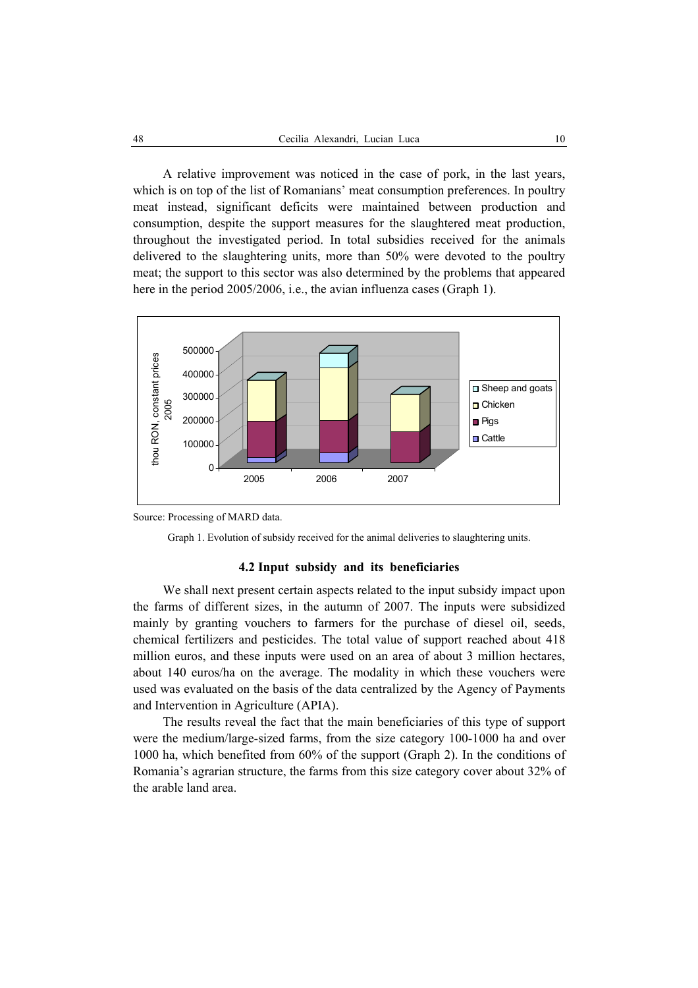A relative improvement was noticed in the case of pork, in the last years, which is on top of the list of Romanians' meat consumption preferences. In poultry meat instead, significant deficits were maintained between production and consumption, despite the support measures for the slaughtered meat production, throughout the investigated period. In total subsidies received for the animals delivered to the slaughtering units, more than 50% were devoted to the poultry meat; the support to this sector was also determined by the problems that appeared here in the period 2005/2006, i.e., the avian influenza cases (Graph 1).



Source: Processing of MARD data.

Graph 1. Evolution of subsidy received for the animal deliveries to slaughtering units.

#### **4.2 Input subsidy and its beneficiaries**

We shall next present certain aspects related to the input subsidy impact upon the farms of different sizes, in the autumn of 2007. The inputs were subsidized mainly by granting vouchers to farmers for the purchase of diesel oil, seeds, chemical fertilizers and pesticides. The total value of support reached about 418 million euros, and these inputs were used on an area of about 3 million hectares, about 140 euros/ha on the average. The modality in which these vouchers were used was evaluated on the basis of the data centralized by the Agency of Payments and Intervention in Agriculture (APIA).

The results reveal the fact that the main beneficiaries of this type of support were the medium/large-sized farms, from the size category 100-1000 ha and over 1000 ha, which benefited from 60% of the support (Graph 2). In the conditions of Romania's agrarian structure, the farms from this size category cover about 32% of the arable land area.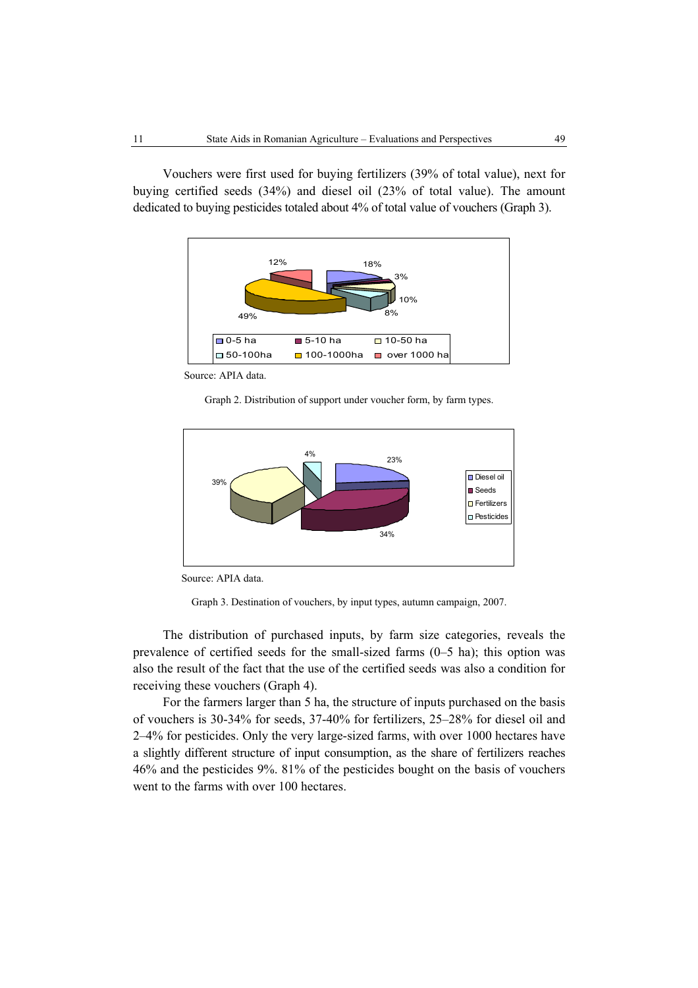Vouchers were first used for buying fertilizers (39% of total value), next for buying certified seeds (34%) and diesel oil (23% of total value). The amount dedicated to buying pesticides totaled about 4% of total value of vouchers (Graph 3).



Source: APIA data.

Graph 2. Distribution of support under voucher form, by farm types.



Source: APIA data.

Graph 3. Destination of vouchers, by input types, autumn campaign, 2007.

The distribution of purchased inputs, by farm size categories, reveals the prevalence of certified seeds for the small-sized farms (0–5 ha); this option was also the result of the fact that the use of the certified seeds was also a condition for receiving these vouchers (Graph 4).

For the farmers larger than 5 ha, the structure of inputs purchased on the basis of vouchers is 30-34% for seeds, 37-40% for fertilizers, 25–28% for diesel oil and 2–4% for pesticides. Only the very large-sized farms, with over 1000 hectares have a slightly different structure of input consumption, as the share of fertilizers reaches 46% and the pesticides 9%. 81% of the pesticides bought on the basis of vouchers went to the farms with over 100 hectares.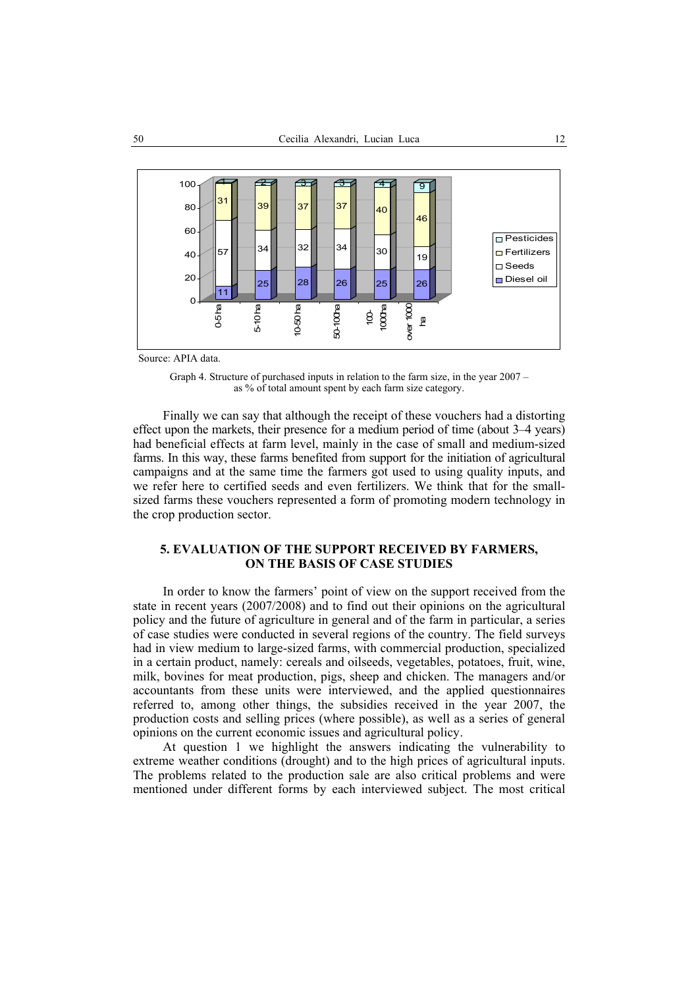

Source: APIA data.

Graph 4. Structure of purchased inputs in relation to the farm size, in the year 2007 – as % of total amount spent by each farm size category.

Finally we can say that although the receipt of these vouchers had a distorting effect upon the markets, their presence for a medium period of time (about 3–4 years) had beneficial effects at farm level, mainly in the case of small and medium-sized farms. In this way, these farms benefited from support for the initiation of agricultural campaigns and at the same time the farmers got used to using quality inputs, and we refer here to certified seeds and even fertilizers. We think that for the smallsized farms these vouchers represented a form of promoting modern technology in the crop production sector.

## **5. EVALUATION OF THE SUPPORT RECEIVED BY FARMERS, ON THE BASIS OF CASE STUDIES**

In order to know the farmers' point of view on the support received from the state in recent years (2007/2008) and to find out their opinions on the agricultural policy and the future of agriculture in general and of the farm in particular, a series of case studies were conducted in several regions of the country. The field surveys had in view medium to large-sized farms, with commercial production, specialized in a certain product, namely: cereals and oilseeds, vegetables, potatoes, fruit, wine, milk, bovines for meat production, pigs, sheep and chicken. The managers and/or accountants from these units were interviewed, and the applied questionnaires referred to, among other things, the subsidies received in the year 2007, the production costs and selling prices (where possible), as well as a series of general opinions on the current economic issues and agricultural policy.

At question 1 we highlight the answers indicating the vulnerability to extreme weather conditions (drought) and to the high prices of agricultural inputs. The problems related to the production sale are also critical problems and were mentioned under different forms by each interviewed subject. The most critical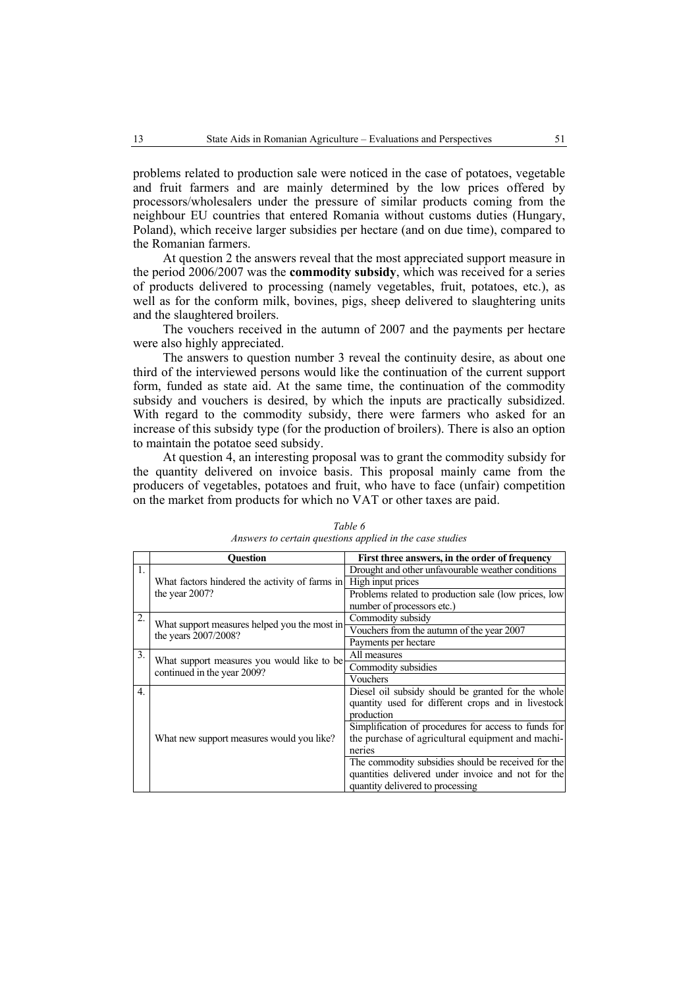problems related to production sale were noticed in the case of potatoes, vegetable and fruit farmers and are mainly determined by the low prices offered by processors/wholesalers under the pressure of similar products coming from the neighbour EU countries that entered Romania without customs duties (Hungary, Poland), which receive larger subsidies per hectare (and on due time), compared to the Romanian farmers.

At question 2 the answers reveal that the most appreciated support measure in the period 2006/2007 was the **commodity subsidy**, which was received for a series of products delivered to processing (namely vegetables, fruit, potatoes, etc.), as well as for the conform milk, bovines, pigs, sheep delivered to slaughtering units and the slaughtered broilers.

The vouchers received in the autumn of 2007 and the payments per hectare were also highly appreciated.

The answers to question number 3 reveal the continuity desire, as about one third of the interviewed persons would like the continuation of the current support form, funded as state aid. At the same time, the continuation of the commodity subsidy and vouchers is desired, by which the inputs are practically subsidized. With regard to the commodity subsidy, there were farmers who asked for an increase of this subsidy type (for the production of broilers). There is also an option to maintain the potatoe seed subsidy.

At question 4, an interesting proposal was to grant the commodity subsidy for the quantity delivered on invoice basis. This proposal mainly came from the producers of vegetables, potatoes and fruit, who have to face (unfair) competition on the market from products for which no VAT or other taxes are paid.

|                  | <b>Ouestion</b>                                                       | First three answers, in the order of frequency       |  |  |  |  |
|------------------|-----------------------------------------------------------------------|------------------------------------------------------|--|--|--|--|
| 1.               |                                                                       | Drought and other unfavourable weather conditions    |  |  |  |  |
|                  | What factors hindered the activity of farms in High input prices      |                                                      |  |  |  |  |
|                  | the year $2007$ ?                                                     | Problems related to production sale (low prices, low |  |  |  |  |
|                  |                                                                       | number of processors etc.)                           |  |  |  |  |
| 2.               |                                                                       | Commodity subsidy                                    |  |  |  |  |
|                  | What support measures helped you the most in-<br>the years 2007/2008? | Vouchers from the autumn of the year 2007            |  |  |  |  |
|                  |                                                                       | Payments per hectare                                 |  |  |  |  |
| 3.               | What support measures you would like to be-                           | All measures                                         |  |  |  |  |
|                  | continued in the year 2009?                                           | Commodity subsidies                                  |  |  |  |  |
|                  |                                                                       | Vouchers                                             |  |  |  |  |
| $\overline{4}$ . |                                                                       | Diesel oil subsidy should be granted for the whole   |  |  |  |  |
|                  |                                                                       | quantity used for different crops and in livestock   |  |  |  |  |
|                  |                                                                       | production                                           |  |  |  |  |
|                  | What new support measures would you like?                             | Simplification of procedures for access to funds for |  |  |  |  |
|                  |                                                                       | the purchase of agricultural equipment and machi-    |  |  |  |  |
|                  |                                                                       | neries                                               |  |  |  |  |
|                  |                                                                       | The commodity subsidies should be received for the   |  |  |  |  |
|                  |                                                                       | quantities delivered under invoice and not for the   |  |  |  |  |
|                  |                                                                       | quantity delivered to processing                     |  |  |  |  |

*Table 6 Answers to certain questions applied in the case studies*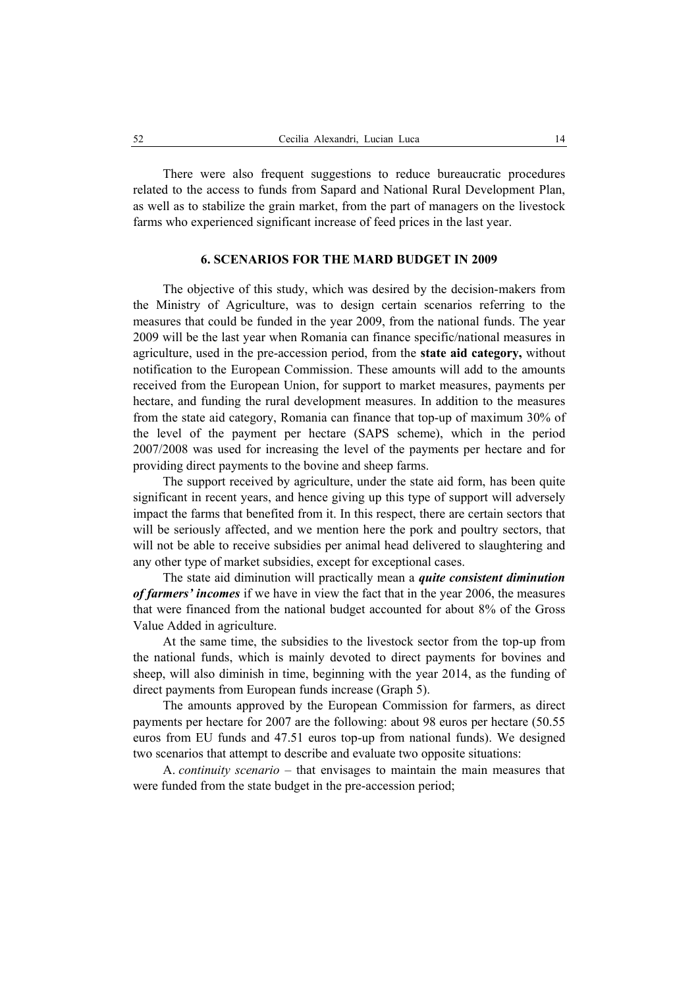There were also frequent suggestions to reduce bureaucratic procedures related to the access to funds from Sapard and National Rural Development Plan, as well as to stabilize the grain market, from the part of managers on the livestock farms who experienced significant increase of feed prices in the last year.

### **6. SCENARIOS FOR THE MARD BUDGET IN 2009**

The objective of this study, which was desired by the decision-makers from the Ministry of Agriculture, was to design certain scenarios referring to the measures that could be funded in the year 2009, from the national funds. The year 2009 will be the last year when Romania can finance specific/national measures in agriculture, used in the pre-accession period, from the **state aid category,** without notification to the European Commission. These amounts will add to the amounts received from the European Union, for support to market measures, payments per hectare, and funding the rural development measures. In addition to the measures from the state aid category, Romania can finance that top-up of maximum 30% of the level of the payment per hectare (SAPS scheme), which in the period 2007/2008 was used for increasing the level of the payments per hectare and for providing direct payments to the bovine and sheep farms.

The support received by agriculture, under the state aid form, has been quite significant in recent years, and hence giving up this type of support will adversely impact the farms that benefited from it. In this respect, there are certain sectors that will be seriously affected, and we mention here the pork and poultry sectors, that will not be able to receive subsidies per animal head delivered to slaughtering and any other type of market subsidies, except for exceptional cases.

The state aid diminution will practically mean a *quite consistent diminution of farmers' incomes* if we have in view the fact that in the year 2006, the measures that were financed from the national budget accounted for about 8% of the Gross Value Added in agriculture.

At the same time, the subsidies to the livestock sector from the top-up from the national funds, which is mainly devoted to direct payments for bovines and sheep, will also diminish in time, beginning with the year 2014, as the funding of direct payments from European funds increase (Graph 5).

The amounts approved by the European Commission for farmers, as direct payments per hectare for 2007 are the following: about 98 euros per hectare (50.55 euros from EU funds and 47.51 euros top-up from national funds). We designed two scenarios that attempt to describe and evaluate two opposite situations:

A. *continuity scenario* – that envisages to maintain the main measures that were funded from the state budget in the pre-accession period;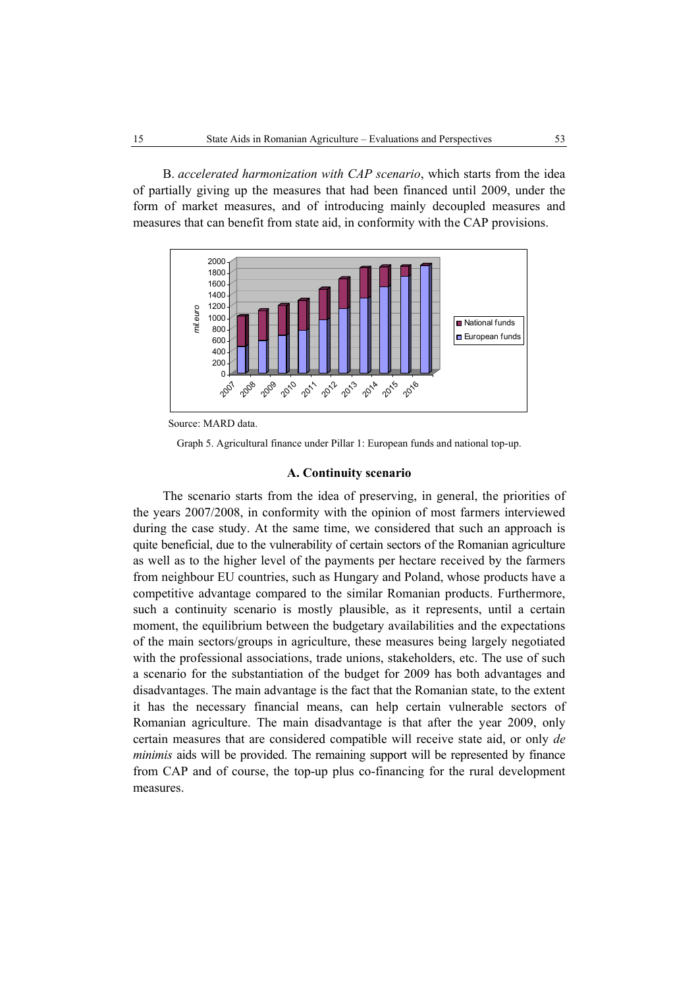B. *accelerated harmonization with CAP scenario*, which starts from the idea of partially giving up the measures that had been financed until 2009, under the form of market measures, and of introducing mainly decoupled measures and measures that can benefit from state aid, in conformity with the CAP provisions.



Source: MARD data.

Graph 5. Agricultural finance under Pillar 1: European funds and national top-up.

### **A. Continuity scenario**

The scenario starts from the idea of preserving, in general, the priorities of the years 2007/2008, in conformity with the opinion of most farmers interviewed during the case study. At the same time, we considered that such an approach is quite beneficial, due to the vulnerability of certain sectors of the Romanian agriculture as well as to the higher level of the payments per hectare received by the farmers from neighbour EU countries, such as Hungary and Poland, whose products have a competitive advantage compared to the similar Romanian products. Furthermore, such a continuity scenario is mostly plausible, as it represents, until a certain moment, the equilibrium between the budgetary availabilities and the expectations of the main sectors/groups in agriculture, these measures being largely negotiated with the professional associations, trade unions, stakeholders, etc. The use of such a scenario for the substantiation of the budget for 2009 has both advantages and disadvantages. The main advantage is the fact that the Romanian state, to the extent it has the necessary financial means, can help certain vulnerable sectors of Romanian agriculture. The main disadvantage is that after the year 2009, only certain measures that are considered compatible will receive state aid, or only *de minimis* aids will be provided. The remaining support will be represented by finance from CAP and of course, the top-up plus co-financing for the rural development measures.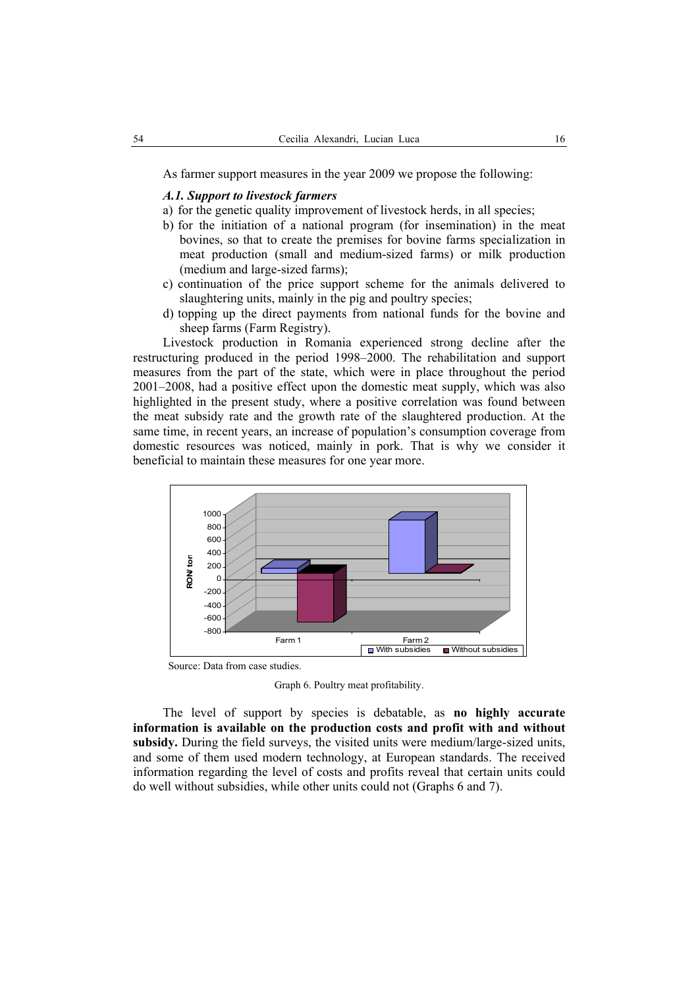As farmer support measures in the year 2009 we propose the following:

### *A.1. Support to livestock farmers*

- a) for the genetic quality improvement of livestock herds, in all species;
- b) for the initiation of a national program (for insemination) in the meat bovines, so that to create the premises for bovine farms specialization in meat production (small and medium-sized farms) or milk production (medium and large-sized farms);
- c) continuation of the price support scheme for the animals delivered to slaughtering units, mainly in the pig and poultry species;
- d) topping up the direct payments from national funds for the bovine and sheep farms (Farm Registry).

Livestock production in Romania experienced strong decline after the restructuring produced in the period 1998–2000. The rehabilitation and support measures from the part of the state, which were in place throughout the period 2001–2008, had a positive effect upon the domestic meat supply, which was also highlighted in the present study, where a positive correlation was found between the meat subsidy rate and the growth rate of the slaughtered production. At the same time, in recent years, an increase of population's consumption coverage from domestic resources was noticed, mainly in pork. That is why we consider it beneficial to maintain these measures for one year more.



Source: Data from case studies.

Graph 6. Poultry meat profitability.

The level of support by species is debatable, as **no highly accurate information is available on the production costs and profit with and without subsidy.** During the field surveys, the visited units were medium/large-sized units, and some of them used modern technology, at European standards. The received information regarding the level of costs and profits reveal that certain units could do well without subsidies, while other units could not (Graphs 6 and 7).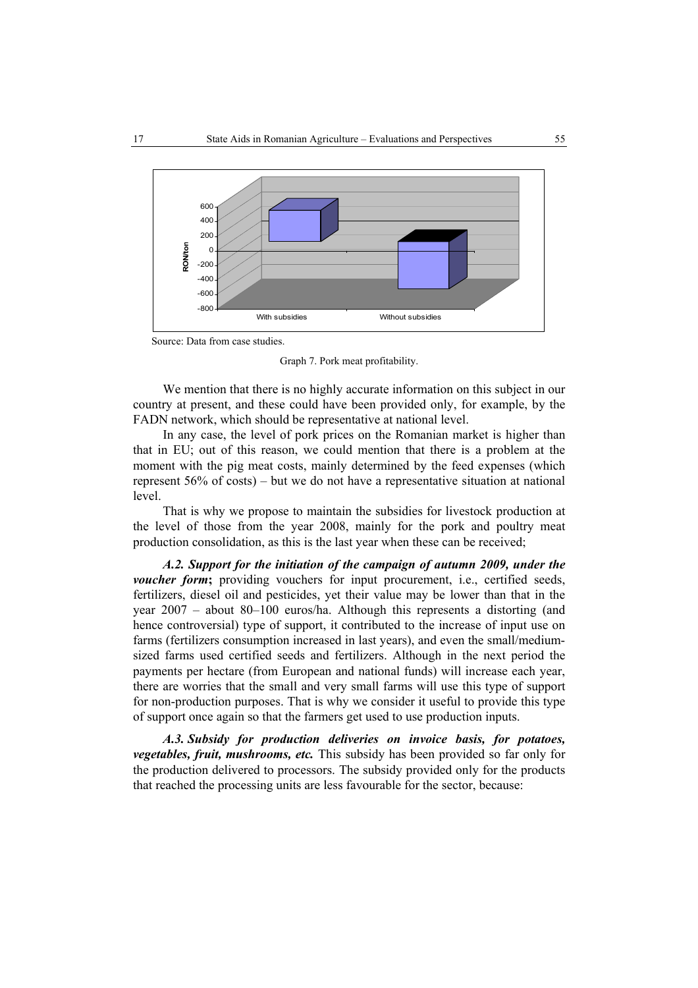

Source: Data from case studies.

Graph 7. Pork meat profitability.

We mention that there is no highly accurate information on this subject in our country at present, and these could have been provided only, for example, by the FADN network, which should be representative at national level.

In any case, the level of pork prices on the Romanian market is higher than that in EU; out of this reason, we could mention that there is a problem at the moment with the pig meat costs, mainly determined by the feed expenses (which represent 56% of costs) – but we do not have a representative situation at national level.

That is why we propose to maintain the subsidies for livestock production at the level of those from the year 2008, mainly for the pork and poultry meat production consolidation, as this is the last year when these can be received;

*A.2. Support for the initiation of the campaign of autumn 2009, under the voucher form*; providing vouchers for input procurement, i.e., certified seeds, fertilizers, diesel oil and pesticides, yet their value may be lower than that in the year 2007 – about 80–100 euros/ha. Although this represents a distorting (and hence controversial) type of support, it contributed to the increase of input use on farms (fertilizers consumption increased in last years), and even the small/mediumsized farms used certified seeds and fertilizers. Although in the next period the payments per hectare (from European and national funds) will increase each year, there are worries that the small and very small farms will use this type of support for non-production purposes. That is why we consider it useful to provide this type of support once again so that the farmers get used to use production inputs.

*A.3. Subsidy for production deliveries on invoice basis, for potatoes, vegetables, fruit, mushrooms, etc.* This subsidy has been provided so far only for the production delivered to processors. The subsidy provided only for the products that reached the processing units are less favourable for the sector, because: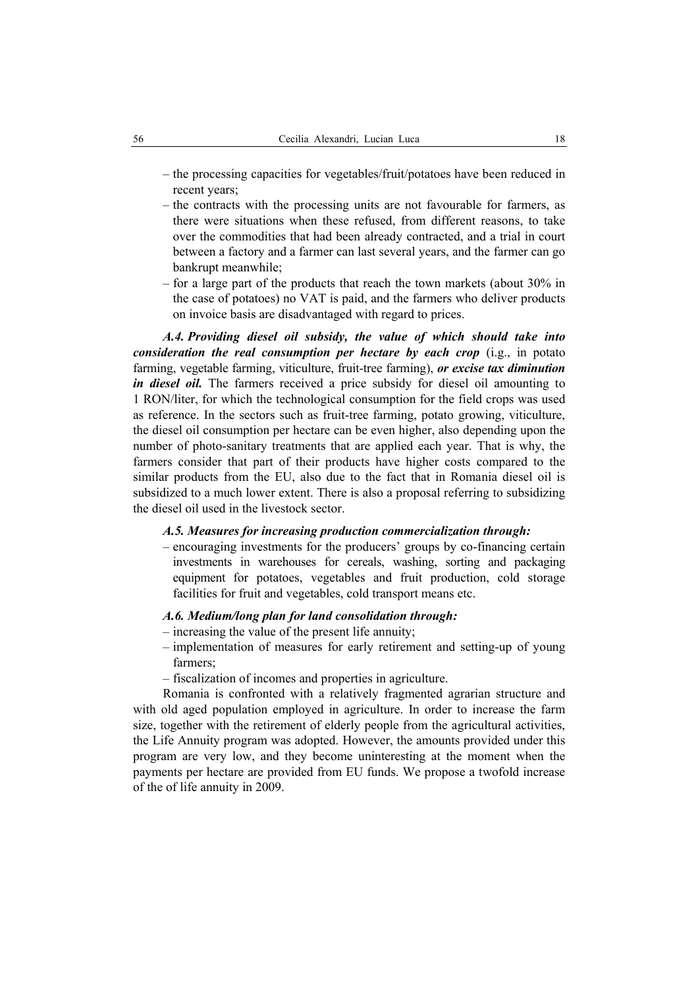- the processing capacities for vegetables/fruit/potatoes have been reduced in recent years;
- the contracts with the processing units are not favourable for farmers, as there were situations when these refused, from different reasons, to take over the commodities that had been already contracted, and a trial in court between a factory and a farmer can last several years, and the farmer can go bankrupt meanwhile;
- for a large part of the products that reach the town markets (about 30% in the case of potatoes) no VAT is paid, and the farmers who deliver products on invoice basis are disadvantaged with regard to prices.

*A.4. Providing diesel oil subsidy, the value of which should take into consideration the real consumption per hectare by each crop* (i.g., in potato farming, vegetable farming, viticulture, fruit-tree farming), *or excise tax diminution in diesel oil.* The farmers received a price subsidy for diesel oil amounting to 1 RON/liter, for which the technological consumption for the field crops was used as reference. In the sectors such as fruit-tree farming, potato growing, viticulture, the diesel oil consumption per hectare can be even higher, also depending upon the number of photo-sanitary treatments that are applied each year. That is why, the farmers consider that part of their products have higher costs compared to the similar products from the EU, also due to the fact that in Romania diesel oil is subsidized to a much lower extent. There is also a proposal referring to subsidizing the diesel oil used in the livestock sector.

### *A.5. Measures for increasing production commercialization through:*

– encouraging investments for the producers' groups by co-financing certain investments in warehouses for cereals, washing, sorting and packaging equipment for potatoes, vegetables and fruit production, cold storage facilities for fruit and vegetables, cold transport means etc.

#### *A.6. Medium/long plan for land consolidation through:*

- increasing the value of the present life annuity;
- implementation of measures for early retirement and setting-up of young farmers;
- fiscalization of incomes and properties in agriculture.

Romania is confronted with a relatively fragmented agrarian structure and with old aged population employed in agriculture. In order to increase the farm size, together with the retirement of elderly people from the agricultural activities, the Life Annuity program was adopted. However, the amounts provided under this program are very low, and they become uninteresting at the moment when the payments per hectare are provided from EU funds. We propose a twofold increase of the of life annuity in 2009.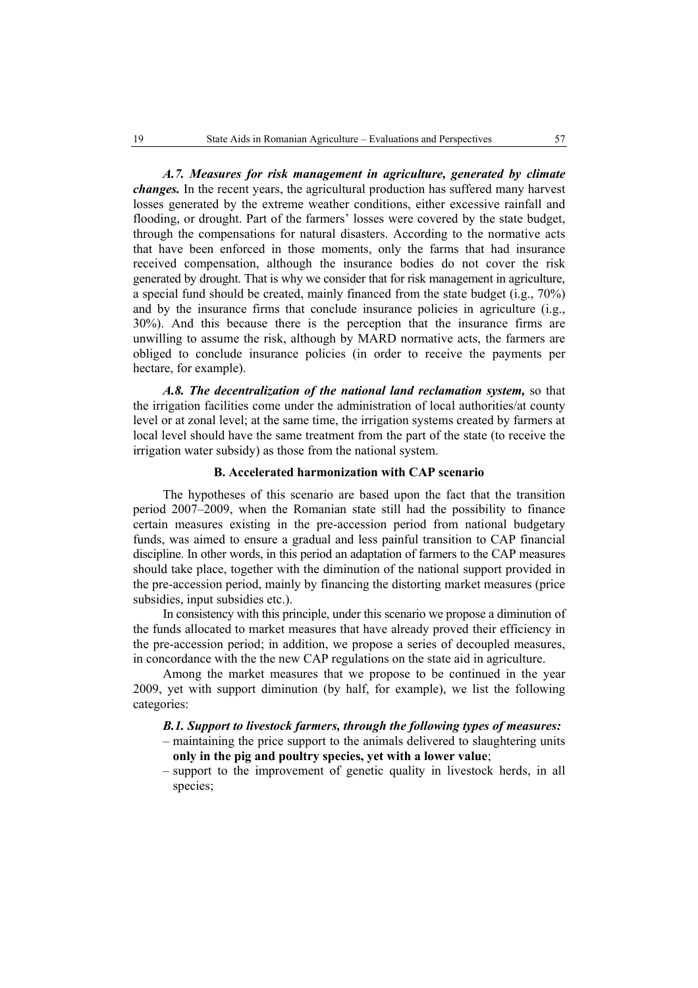*A.7. Measures for risk management in agriculture, generated by climate changes.* In the recent years, the agricultural production has suffered many harvest losses generated by the extreme weather conditions, either excessive rainfall and flooding, or drought. Part of the farmers' losses were covered by the state budget, through the compensations for natural disasters. According to the normative acts that have been enforced in those moments, only the farms that had insurance received compensation, although the insurance bodies do not cover the risk generated by drought. That is why we consider that for risk management in agriculture, a special fund should be created, mainly financed from the state budget (i.g., 70%) and by the insurance firms that conclude insurance policies in agriculture (i.g., 30%). And this because there is the perception that the insurance firms are unwilling to assume the risk, although by MARD normative acts, the farmers are obliged to conclude insurance policies (in order to receive the payments per hectare, for example).

*A.8. The decentralization of the national land reclamation system,* so that the irrigation facilities come under the administration of local authorities/at county level or at zonal level; at the same time, the irrigation systems created by farmers at local level should have the same treatment from the part of the state (to receive the irrigation water subsidy) as those from the national system.

#### **B. Accelerated harmonization with CAP scenario**

The hypotheses of this scenario are based upon the fact that the transition period 2007–2009, when the Romanian state still had the possibility to finance certain measures existing in the pre-accession period from national budgetary funds, was aimed to ensure a gradual and less painful transition to CAP financial discipline. In other words, in this period an adaptation of farmers to the CAP measures should take place, together with the diminution of the national support provided in the pre-accession period, mainly by financing the distorting market measures (price subsidies, input subsidies etc.).

In consistency with this principle, under this scenario we propose a diminution of the funds allocated to market measures that have already proved their efficiency in the pre-accession period; in addition, we propose a series of decoupled measures, in concordance with the the new CAP regulations on the state aid in agriculture.

Among the market measures that we propose to be continued in the year 2009, yet with support diminution (by half, for example), we list the following categories:

#### *B.1. Support to livestock farmers, through the following types of measures:*  – maintaining the price support to the animals delivered to slaughtering units

- **only in the pig and poultry species, yet with a lower value**;
- support to the improvement of genetic quality in livestock herds, in all species;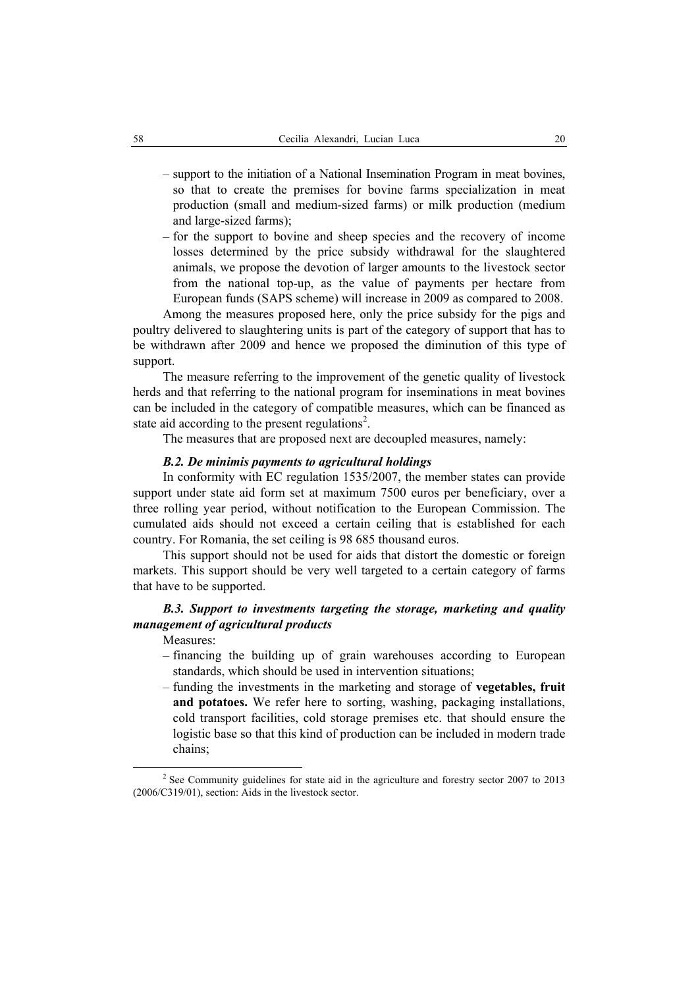- support to the initiation of a National Insemination Program in meat bovines, so that to create the premises for bovine farms specialization in meat production (small and medium-sized farms) or milk production (medium and large-sized farms);
- for the support to bovine and sheep species and the recovery of income losses determined by the price subsidy withdrawal for the slaughtered animals, we propose the devotion of larger amounts to the livestock sector from the national top-up, as the value of payments per hectare from European funds (SAPS scheme) will increase in 2009 as compared to 2008.

Among the measures proposed here, only the price subsidy for the pigs and poultry delivered to slaughtering units is part of the category of support that has to be withdrawn after 2009 and hence we proposed the diminution of this type of support.

The measure referring to the improvement of the genetic quality of livestock herds and that referring to the national program for inseminations in meat bovines can be included in the category of compatible measures, which can be financed as state aid according to the present regulations<sup>2</sup>.

The measures that are proposed next are decoupled measures, namely:

### *B.2. De minimis payments to agricultural holdings*

In conformity with EC regulation 1535/2007, the member states can provide support under state aid form set at maximum 7500 euros per beneficiary, over a three rolling year period, without notification to the European Commission. The cumulated aids should not exceed a certain ceiling that is established for each country. For Romania, the set ceiling is 98 685 thousand euros.

This support should not be used for aids that distort the domestic or foreign markets. This support should be very well targeted to a certain category of farms that have to be supported.

# *B.3. Support to investments targeting the storage, marketing and quality management of agricultural products*

Measures:

- financing the building up of grain warehouses according to European standards, which should be used in intervention situations;
- funding the investments in the marketing and storage of **vegetables, fruit**  and potatoes. We refer here to sorting, washing, packaging installations, cold transport facilities, cold storage premises etc. that should ensure the logistic base so that this kind of production can be included in modern trade chains;

 <sup>2</sup>  $2$  See Community guidelines for state aid in the agriculture and forestry sector 2007 to 2013 (2006/C319/01), section: Aids in the livestock sector.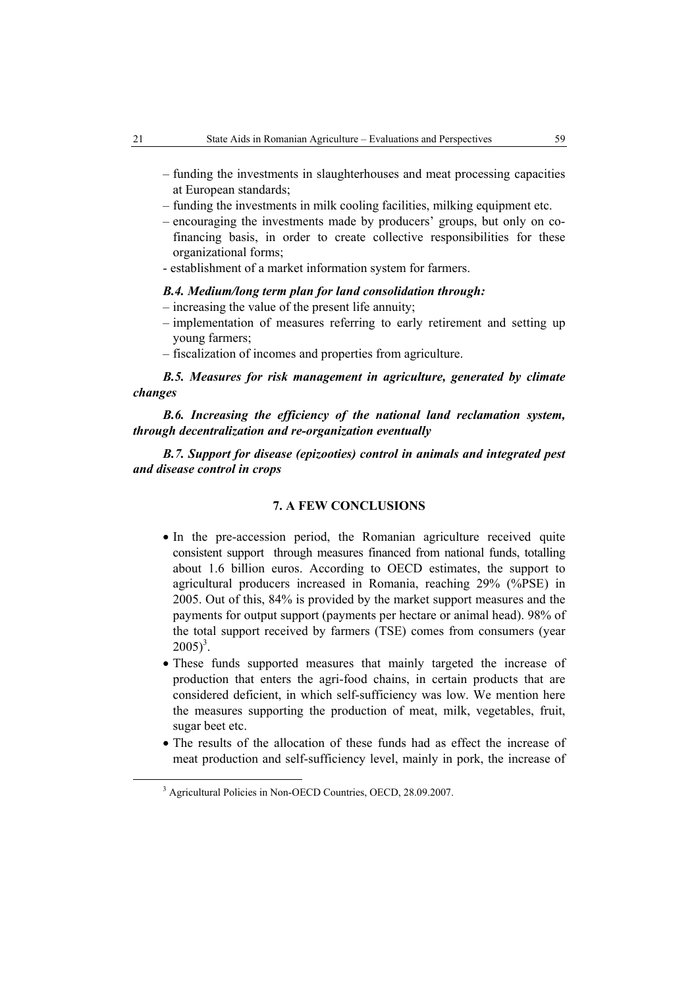- funding the investments in slaughterhouses and meat processing capacities at European standards;
- funding the investments in milk cooling facilities, milking equipment etc.
- encouraging the investments made by producers' groups, but only on cofinancing basis, in order to create collective responsibilities for these organizational forms;
- establishment of a market information system for farmers.

## *B.4. Medium/long term plan for land consolidation through:*

- increasing the value of the present life annuity;
- implementation of measures referring to early retirement and setting up young farmers;
- fiscalization of incomes and properties from agriculture.

*B.5. Measures for risk management in agriculture, generated by climate changes* 

*B.6. Increasing the efficiency of the national land reclamation system, through decentralization and re-organization eventually* 

*B.7. Support for disease (epizooties) control in animals and integrated pest and disease control in crops* 

### **7. A FEW CONCLUSIONS**

- In the pre-accession period, the Romanian agriculture received quite consistent support through measures financed from national funds, totalling about 1.6 billion euros. According to OECD estimates, the support to agricultural producers increased in Romania, reaching 29% (%PSE) in 2005. Out of this, 84% is provided by the market support measures and the payments for output support (payments per hectare or animal head). 98% of the total support received by farmers (TSE) comes from consumers (year  $2005)^3$ .
- These funds supported measures that mainly targeted the increase of production that enters the agri-food chains, in certain products that are considered deficient, in which self-sufficiency was low. We mention here the measures supporting the production of meat, milk, vegetables, fruit, sugar beet etc.
- The results of the allocation of these funds had as effect the increase of meat production and self-sufficiency level, mainly in pork, the increase of

 <sup>3</sup> <sup>3</sup> Agricultural Policies in Non-OECD Countries, OECD, 28.09.2007.